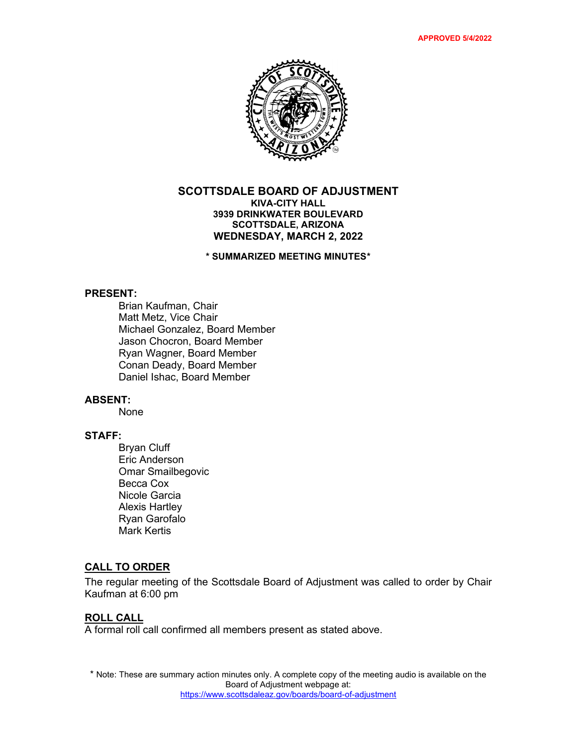

### **SCOTTSDALE BOARD OF ADJUSTMENT KIVA-CITY HALL 3939 DRINKWATER BOULEVARD SCOTTSDALE, ARIZONA WEDNESDAY, MARCH 2, 2022**

**\* SUMMARIZED MEETING MINUTES\***

#### **PRESENT:**

Brian Kaufman, Chair Matt Metz, Vice Chair Michael Gonzalez, Board Member Jason Chocron, Board Member Ryan Wagner, Board Member Conan Deady, Board Member Daniel Ishac, Board Member

#### **ABSENT:**

None

# **STAFF:**

Bryan Cluff Eric Anderson Omar Smailbegovic Becca Cox Nicole Garcia Alexis Hartley Ryan Garofalo Mark Kertis

## **CALL TO ORDER**

The regular meeting of the Scottsdale Board of Adjustment was called to order by Chair Kaufman at 6:00 pm

#### **ROLL CALL**

A formal roll call confirmed all members present as stated above.

\* Note: These are summary action minutes only. A complete copy of the meeting audio is available on the Board of Adjustment webpage at: <https://www.scottsdaleaz.gov/boards/board-of-adjustment>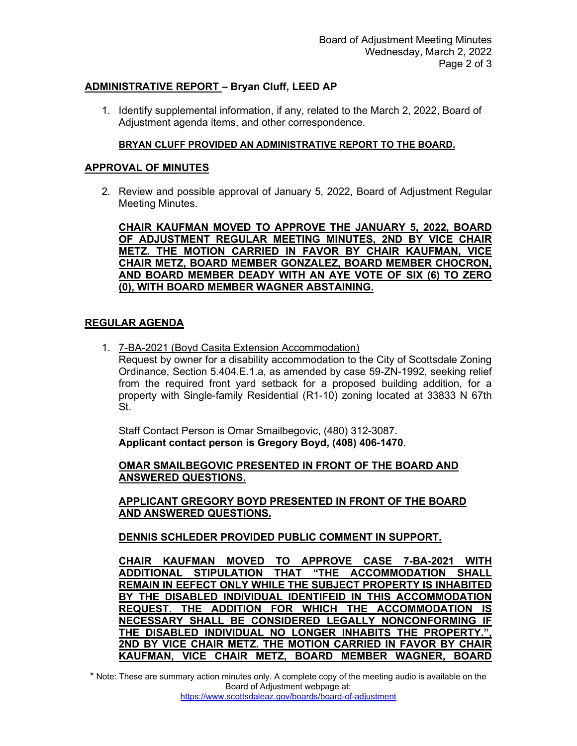## **ADMINISTRATIVE REPORT – Bryan Cluff, LEED AP**

1. Identify supplemental information, if any, related to the March 2, 2022, Board of Adjustment agenda items, and other correspondence.

### **BRYAN CLUFF PROVIDED AN ADMINISTRATIVE REPORT TO THE BOARD.**

### **APPROVAL OF MINUTES**

2. Review and possible approval of January 5, 2022, Board of Adjustment Regular Meeting Minutes.

**CHAIR KAUFMAN MOVED TO APPROVE THE JANUARY 5, 2022, BOARD OF ADJUSTMENT REGULAR MEETING MINUTES, 2ND BY VICE CHAIR METZ. THE MOTION CARRIED IN FAVOR BY CHAIR KAUFMAN, VICE CHAIR METZ, BOARD MEMBER GONZALEZ, BOARD MEMBER CHOCRON, AND BOARD MEMBER DEADY WITH AN AYE VOTE OF SIX (6) TO ZERO (0), WITH BOARD MEMBER WAGNER ABSTAINING.** 

## **REGULAR AGENDA**

1. 7-BA-2021 (Boyd Casita Extension Accommodation) Request by owner for a disability accommodation to the City of Scottsdale Zoning Ordinance, Section 5.404.E.1.a, as amended by case 59-ZN-1992, seeking relief from the required front yard setback for a proposed building addition, for a property with Single-family Residential (R1-10) zoning located at 33833 N 67th St.

Staff Contact Person is Omar Smailbegovic, (480) 312-3087. **Applicant contact person is Gregory Boyd, (408) 406-1470**.

**OMAR SMAILBEGOVIC PRESENTED IN FRONT OF THE BOARD AND ANSWERED QUESTIONS.**

**APPLICANT GREGORY BOYD PRESENTED IN FRONT OF THE BOARD AND ANSWERED QUESTIONS.**

**DENNIS SCHLEDER PROVIDED PUBLIC COMMENT IN SUPPORT.**

**CHAIR KAUFMAN MOVED TO APPROVE CASE 7-BA-2021 WITH ADDITIONAL STIPULATION THAT "THE ACCOMMODATION SHALL REMAIN IN EEFECT ONLY WHILE THE SUBJECT PROPERTY IS INHABITED BY THE DISABLED INDIVIDUAL IDENTIFEID IN THIS ACCOMMODATION REQUEST. THE ADDITION FOR WHICH THE ACCOMMODATION IS NECESSARY SHALL BE CONSIDERED LEGALLY NONCONFORMING IF THE DISABLED INDIVIDUAL NO LONGER INHABITS THE PROPERTY.", 2ND BY VICE CHAIR METZ. THE MOTION CARRIED IN FAVOR BY CHAIR KAUFMAN, VICE CHAIR METZ, BOARD MEMBER WAGNER, BOARD** 

\* Note: These are summary action minutes only. A complete copy of the meeting audio is available on the Board of Adjustment webpage at: